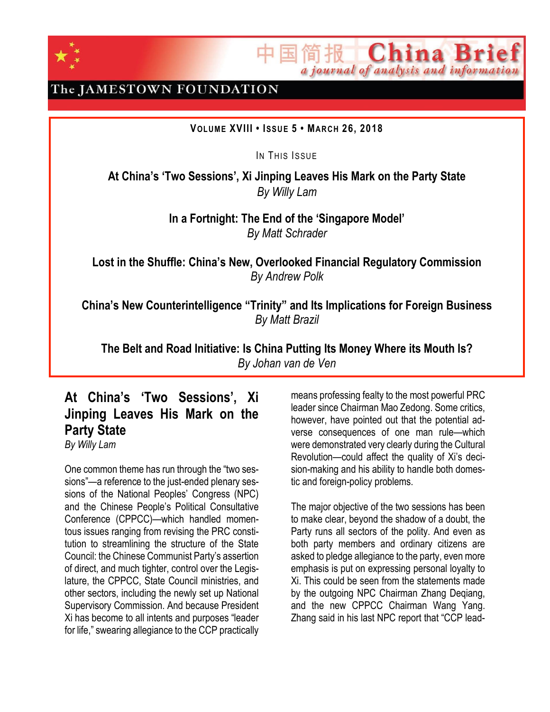

The JAMESTOWN FOUNDATION

#### **VOLUME XVIII • ISSU E 5 • MAR CH 26, 2018**

IN THIS ISSUE

**At China's 'Two Sessions', Xi Jinping Leaves His Mark on the Party State** *By Willy Lam*

> **In a Fortnight: The End of the 'Singapore Model'** *By Matt Schrader*

**Lost in the Shuffle: China's New, Overlooked Financial Regulatory Commission** *By Andrew Polk*

**China's New Counterintelligence "Trinity" and Its Implications for Foreign Business** *By Matt Brazil*

**The Belt and Road Initiative: Is China Putting Its Money Where its Mouth Is?** *By Johan van de Ven*

# **At China's 'Two Sessions', Xi Jinping Leaves His Mark on the Party State**

*By Willy Lam*

One common theme has run through the "two sessions"—a reference to the just-ended plenary sessions of the National Peoples' Congress (NPC) and the Chinese People's Political Consultative Conference (CPPCC)—which handled momentous issues ranging from revising the PRC constitution to streamlining the structure of the State Council: the Chinese Communist Party's assertion of direct, and much tighter, control over the Legislature, the CPPCC, State Council ministries, and other sectors, including the newly set up National Supervisory Commission. And because President Xi has become to all intents and purposes "leader for life," swearing allegiance to the CCP practically means professing fealty to the most powerful PRC leader since Chairman Mao Zedong. Some critics, however, have pointed out that the potential adverse consequences of one man rule—which were demonstrated very clearly during the Cultural Revolution—could affect the quality of Xi's decision-making and his ability to handle both domestic and foreign-policy problems.

China Br

a journal of analysis and information

The major objective of the two sessions has been to make clear, beyond the shadow of a doubt, the Party runs all sectors of the polity. And even as both party members and ordinary citizens are asked to pledge allegiance to the party, even more emphasis is put on expressing personal loyalty to Xi. This could be seen from the statements made by the outgoing NPC Chairman Zhang Deqiang, and the new CPPCC Chairman Wang Yang. Zhang said in his last NPC report that "CCP lead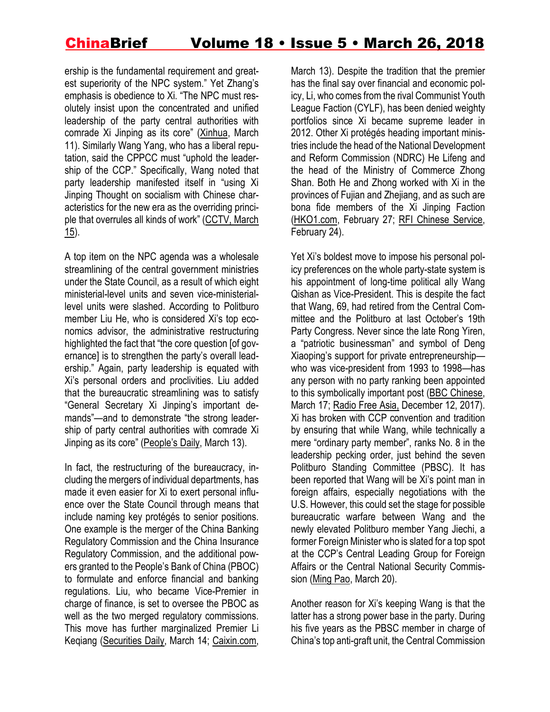ership is the fundamental requirement and greatest superiority of the NPC system." Yet Zhang's emphasis is obedience to Xi. "The NPC must resolutely insist upon the concentrated and unified leadership of the party central authorities with comrade Xi Jinping as its core" [\(Xinhua,](http://www.xinhuanet.com/politics/2018lh/2018-03/11/c_137031657.htm) March 11). Similarly Wang Yang, who has a liberal reputation, said the CPPCC must "uphold the leadership of the CCP." Specifically, Wang noted that party leadership manifested itself in "using Xi Jinping Thought on socialism with Chinese characteristics for the new era as the overriding principle that overrules all kinds of work" [\(CCTV,](http://news.cctv.com/2018/03/15/ARTIuqRTtHptsF7jDD5Y3yh5180315.shtml) March <u>15</u>).

A top item on the NPC agenda was a wholesale streamlining of the central government ministries under the State Council, as a result of which eight ministerial-level units and seven vice-ministeriallevel units were slashed. According to Politburo member Liu He, who is considered Xi's top economics advisor, the administrative restructuring highlighted the fact that "the core question [of governance] is to strengthen the party's overall leadership." Again, party leadership is equated with Xi's personal orders and proclivities. Liu added that the bureaucratic streamlining was to satisfy "General Secretary Xi Jinping's important demands"—and to demonstrate "the strong leadership of party central authorities with comrade Xi Jinping as its core" (P[eople's](http://paper.people.com.cn/rmrb/html/2018-03/13/nw.D110000renmrb_20180313_1-06.htm) Daily, March 13).

In fact, the restructuring of the bureaucracy, including the mergers of individual departments, has made it even easier for Xi to exert personal influence over the State Council through means that include naming key protégés to senior positions. One example is the merger of the China Banking Regulatory Commission and the China Insurance Regulatory Commission, and the additional powers granted to the People's Bank of China (PBOC) to formulate and enforce financial and banking regulations. Liu, who became Vice-Premier in charge of finance, is set to oversee the PBOC as well as the two merged regulatory commissions. This move has further marginalized Premier Li Keqiang [\(Securities](http://finance.ce.cn/rolling/201803/14/t20180314_28461433.shtml) Daily, March 14; [Caixin.com,](http://finance.caixin.com/2018-03-13/101220408.html)

March 13). Despite the tradition that the premier has the final say over financial and economic policy, Li, who comes from the rival Communist Youth League Faction (CYLF), has been denied weighty portfolios since Xi became supreme leader in 2012. Other Xi protégés heading important ministries include the head of the National Development and Reform Commission (NDRC) He Lifeng and the head of the Ministry of Commerce Zhong Shan. Both He and Zhong worked with Xi in the provinces of Fujian and Zhejiang, and as such are bona fide members of the Xi Jinping Faction [\(HKO1.com,](https://www.hk01.com/%E5%85%A9%E5%B2%B8/73851/%E4%BD%95%E7%AB%8B%E5%B3%B0%E6%8E%A5%E6%8E%8C%E7%99%BC%E6%94%B9%E5%A7%94-%E6%9B%BE%E8%88%87%E7%BF%92%E8%BF%91%E5%B9%B3%E5%BC%B5%E9%AB%98%E9%BA%97%E5%9C%A8%E5%9C%B0%E6%96%B9%E5%85%B1%E4%BA%8B) February 27; RFI [Chinese](http://trad.cn.rfi.fr/%E4%B8%AD%E5%9C%8B/20170224-%E5%8D%81%E4%B9%9D%E5%A4%A7%E5%89%8D%E7%B6%93%E6%BF%9F%E5%9C%98%E9%9A%8A%E5%A4%A7%E6%8F%9B%E8%A1%80%E2%80%9C%E7%BF%92%E5%AE%B6%E8%BB%8D%E2%80%9D%E4%BD%95%E7%AB%8B%E5%B3%B0%E9%90%98%E5%B1%B1%E4%B8%8A%E4%BD%8D%E9%83%AD%E6%A8%B9%E6%B8%85%E6%8E%8C%E9%8A%80) Service, February 24).

Yet Xi's boldest move to impose his personal policy preferences on the whole party-state system is his appointment of long-time political ally Wang Qishan as Vice-President. This is despite the fact that Wang, 69, had retired from the Central Committee and the Politburo at last October's 19th Party Congress. Never since the late Rong Yiren, a "patriotic businessman" and symbol of Deng Xiaoping's support for private entrepreneurship who was vice-president from 1993 to 1998—has any person with no party ranking been appointed to this symbolically important post (BBC [Chinese,](http://www.bbc.com/zhongwen/simp/chinese-news-43440065) March 17; [Radio](https://www.rfa.org/mandarin/zhuanlan/yehuazhongnanhai/gx-12132017133003.html) Free Asia, December 12, 2017). Xi has broken with CCP convention and tradition by ensuring that while Wang, while technically a mere "ordinary party member", ranks No. 8 in the leadership pecking order, just behind the seven Politburo Standing Committee (PBSC). It has been reported that Wang will be Xi's point man in foreign affairs, especially negotiations with the U.S. However, this could set the stage for possible bureaucratic warfare between Wang and the newly elevated Politburo member Yang Jiechi, a former Foreign Minister who is slated for a top spot at the CCP's Central Leading Group for Foreign Affairs or the Central National Security Commission [\(Ming](http://premium.mingpao.com/cfm/Content_News.cfm?Channel=ca&Path=101103403203/caa1.cfm) Pao, March 20).

Another reason for Xi's keeping Wang is that the latter has a strong power base in the party. During his five years as the PBSC member in charge of China's top anti-graft unit, the Central Commission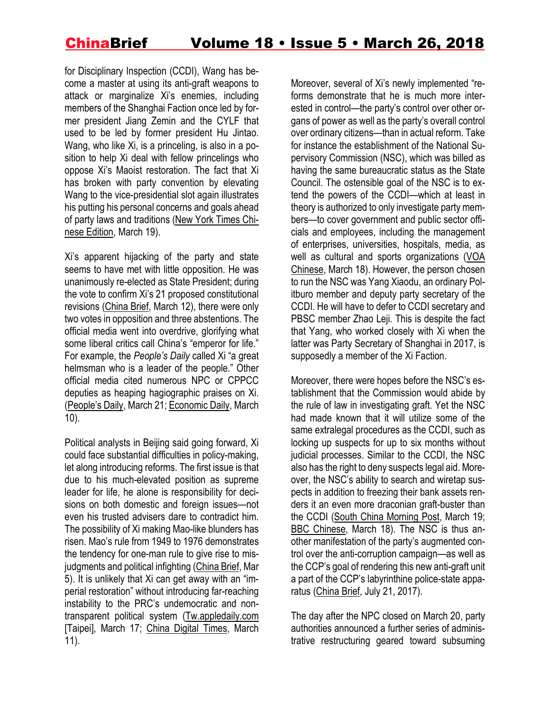for Disciplinary Inspection (CCDI), Wang has become a master at using its anti-graft weapons to attack or marginalize Xi's enemies, including members of the Shanghai Faction once led by former president Jiang Zemin and the CYLF that used to be led by former president Hu Jintao. Wang, who like Xi, is a princeling, is also in a position to help Xi deal with fellow princelings who oppose Xi's Maoist restoration. The fact that Xi has broken with party convention by elevating Wang to the vice-presidential slot again illustrates his putting his personal concerns and goals ahead of party laws and traditions (New York [Times](https://cn.nytimes.com/china/20180319/china-wang-qishan-vice-president/zh-hant/) Chinese [Edition,](https://cn.nytimes.com/china/20180319/china-wang-qishan-vice-president/zh-hant/) March 19).

Xi's apparent hijacking of the party and state seems to have met with little opposition. He was unanimously re-elected as State President; during the vote to confirm Xi's 21 proposed constitutional revisions [\(China](https://jamestown.org/program/xis-other-amendments/) Brief, March 12), there were only two votes in opposition and three abstentions. The official media went into overdrive, glorifying what some liberal critics call China's "emperor for life." For example, the *People's Daily* called Xi "a great helmsman who is a leader of the people." Other official media cited numerous NPC or CPPCC deputies as heaping hagiographic praises on Xi. ([People's](http://lianghui.people.com.cn/2018npc/n1/2018/0321/c417507-29879369.html) Daily, March 21; [Economic](http://news.cnr.cn/native/gd/20180310/t20180310_524160087.shtml) Daily, March 10).

Political analysts in Beijing said going forward, Xi could face substantial difficulties in policy-making, let along introducing reforms. The first issue is that due to his much-elevated position as supreme leader for life, he alone is responsibility for decisions on both domestic and foreign issues—not even his trusted advisers dare to contradict him. The possibility of Xi making Mao-like blunders has risen. Mao's rule from 1949 to 1976 demonstrates the tendency for one-man rule to give rise to misjudgments and political infighting [\(China](https://jamestown.org/program/xi-jinping-steers-china-back-days-mao-zedong/) Brief, Mar 5). It is unlikely that Xi can get away with an "imperial restoration" without introducing far-reaching instability to the PRC's undemocratic and nontransparent political system [\(Tw.appledaily.com](https://tw.appledaily.com/column/article/628/rnews/20180317/1316541) [Taipei], March 17; China Digital [Times,](https://chinadigitaltimes.net/chinese/2018/03/bbc-%E8%A5%BF%E6%96%B9%E5%AA%92%E4%BD%93%E7%9C%8B%E4%B8%AD%E5%9B%BD%E4%BF%AE%E5%AE%AA%EF%BC%9A%E5%A4%A7%E6%9D%83%E7%8B%AC%E6%8F%BD%E6%9C%AA%E5%BF%85%E9%95%BF%E6%B2%BB%E4%B9%85%E5%AE%89/) March 11).

Moreover, several of Xi's newly implemented "reforms demonstrate that he is much more interested in control—the party's control over other organs of power as well as the party's overall control over ordinary citizens—than in actual reform. Take for instance the establishment of the National Supervisory Commission (NSC), which was billed as having the same bureaucratic status as the State Council. The ostensible goal of the NSC is to extend the powers of the CCDI—which at least in theory is authorized to only investigate party members—to cover government and public sector officials and employees, including the management of enterprises, universities, hospitals, media, as well as cultural and sports organizations [\(VOA](https://www.voachinese.com/a/news-xi-aide-to-head-china-20180318/4303792.html) [Chinese,](https://www.voachinese.com/a/news-xi-aide-to-head-china-20180318/4303792.html) March 18). However, the person chosen to run the NSC was Yang Xiaodu, an ordinary Politburo member and deputy party secretary of the CCDI. He will have to defer to CCDI secretary and PBSC member Zhao Leji. This is despite the fact that Yang, who worked closely with Xi when the latter was Party Secretary of Shanghai in 2017, is supposedly a member of the Xi Faction.

Moreover, there were hopes before the NSC's establishment that the Commission would abide by the rule of law in investigating graft. Yet the NSC had made known that it will utilize some of the same extralegal procedures as the CCDI, such as locking up suspects for up to six months without judicial processes. Similar to the CCDI, the NSC also has the right to deny suspects legal aid. Moreover, the NSC's ability to search and wiretap suspects in addition to freezing their bank assets renders it an even more draconian graft-buster than the CCDI (South China [Morning](https://www.google.com.hk/search?q=nectar+gan+scmp+surprise+choice+for+head+of+supervisory+commission&oq=nectar+gan&aqs=chrome.0.69i59j69i57j0l2.4257j0j7&sourceid=chrome&ie=UTF-8) Post, March 19; BBC [Chinese,](http://www.bbc.com/zhongwen/trad/chinese-news-43446569) March 18). The NSC is thus another manifestation of the party's augmented control over the anti-corruption campaign—as well as the CCP's goal of rendering this new anti-graft unit a part of the CCP's labyrinthine police-state apparatus [\(China](https://jamestown.org/program/beijing-harnesses-big-data-ai-to-perfect-the-police-state/) Brief, July 21, 2017).

The day after the NPC closed on March 20, party authorities announced a further series of administrative restructuring geared toward subsuming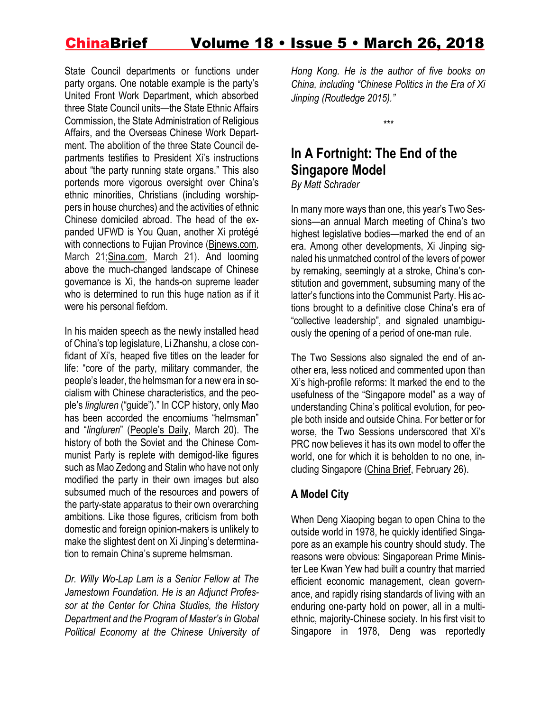State Council departments or functions under party organs. One notable example is the party's United Front Work Department, which absorbed three State Council units—the State Ethnic Affairs Commission, the State Administration of Religious Affairs, and the Overseas Chinese Work Department. The abolition of the three State Council departments testifies to President Xi's instructions about "the party running state organs." This also portends more vigorous oversight over China's ethnic minorities, Christians (including worshippers in house churches) and the activities of ethnic Chinese domiciled abroad. The head of the expanded UFWD is You Quan, another Xi protégé with connections to Fujian Province [\(Bjnews.com,](http://www.bjnews.com.cn/news/2018/03/21/479970.html) March 21[;Sina.com,](http://news.sina.com.cn/o/2018-03-21/doc-ifysnitm4211349.shtml) March 21). And looming above the much-changed landscape of Chinese governance is Xi, the hands-on supreme leader who is determined to run this huge nation as if it were his personal fiefdom.

In his maiden speech as the newly installed head of China's top legislature, Li Zhanshu, a close confidant of Xi's, heaped five titles on the leader for life: "core of the party, military commander, the people's leader, the helmsman for a new era in socialism with Chinese characteristics, and the people's *lingluren* ("guide")." In CCP history, only Mao has been accorded the encomiums "helmsman" and "*lingluren*" ([People's](http://www.xinhuanet.com/politics/2018-03/20/c_1122566532.htm) Daily, March 20). The history of both the Soviet and the Chinese Communist Party is replete with demigod-like figures such as Mao Zedong and Stalin who have not only modified the party in their own images but also subsumed much of the resources and powers of the party-state apparatus to their own overarching ambitions. Like those figures, criticism from both domestic and foreign opinion-makers is unlikely to make the slightest dent on Xi Jinping's determination to remain China's supreme helmsman.

*Dr. Willy Wo-Lap Lam is a Senior Fellow at The Jamestown Foundation. He is an Adjunct Professor at the Center for China Studies, the History Department and the Program of Master's in Global Political Economy at the Chinese University of* *Hong Kong. He is the author of five books on China, including "Chinese Politics in the Era of Xi Jinping (Routledge 2015)."*

*\*\*\**

# **In A Fortnight: The End of the Singapore Model**

*By Matt Schrader*

In many more ways than one, this year's Two Sessions—an annual March meeting of China's two highest legislative bodies—marked the end of an era. Among other developments, Xi Jinping signaled his unmatched control of the levers of power by remaking, seemingly at a stroke, China's constitution and government, subsuming many of the latter's functions into the Communist Party. His actions brought to a definitive close China's era of "collective leadership", and signaled unambiguously the opening of a period of one-man rule.

The Two Sessions also signaled the end of another era, less noticed and commented upon than Xi's high-profile reforms: It marked the end to the usefulness of the "Singapore model" as a way of understanding China's political evolution, for people both inside and outside China. For better or for worse, the Two Sessions underscored that Xi's PRC now believes it has its own model to offer the world, one for which it is beholden to no one, including Singapore [\(China](https://jamestown.org/program/beijings-vision-reshaped-international-order/) Brief, February 26).

## **A Model City**

When Deng Xiaoping began to open China to the outside world in 1978, he quickly identified Singapore as an example his country should study. The reasons were obvious: Singaporean Prime Minister Lee Kwan Yew had built a country that married efficient economic management, clean governance, and rapidly rising standards of living with an enduring one-party hold on power, all in a multiethnic, majority-Chinese society. In his first visit to Singapore in 1978, Deng was reportedly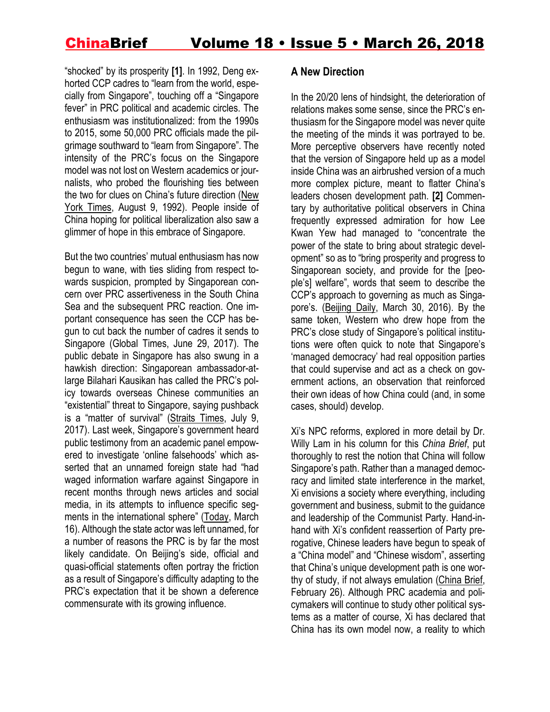"shocked" by its prosperity **[1]**. In 1992, Deng exhorted CCP cadres to "learn from the world, especially from Singapore", touching off a "Singapore fever" in PRC political and academic circles. The enthusiasm was institutionalized: from the 1990s to 2015, some 50,000 PRC officials made the pilgrimage southward to "learn from Singapore". The intensity of the PRC's focus on the Singapore model was not lost on Western academics or journalists, who probed the flourishing ties between the two for clues on China's future direction [\(New](https://www.nytimes.com/1992/08/09/weekinreview/the-world-china-sees-singapore-as-a-model-for-progress.html) York [Times,](https://www.nytimes.com/1992/08/09/weekinreview/the-world-china-sees-singapore-as-a-model-for-progress.html) August 9, 1992). People inside of China hoping for political liberalization also saw a glimmer of hope in this embrace of Singapore.

But the two countries' mutual enthusiasm has now begun to wane, with ties sliding from respect towards suspicion, prompted by Singaporean concern over PRC assertiveness in the South China Sea and the subsequent PRC reaction. One important consequence has seen the CCP has begun to cut back the number of cadres it sends to Singapore [\(Global](http://www.globaltimes.cn/content/1054147.shtml) Times, June 29, 2017). The public debate in Singapore has also swung in a hawkish direction: Singaporean ambassador-atlarge Bilahari Kausikan has called the PRC's policy towards overseas Chinese communities an "existential" threat to Singapore, saying pushback is a "matter of survival" [\(Straits](http://www.straitstimes.com/singapore/diplomat-who-writes-and-speaks-without-hedging) Times, July 9, 2017). Last week, Singapore's government heard public testimony from an academic panel empowered to investigate 'online falsehoods' which asserted that an unnamed foreign state had "had waged information warfare against Singapore in recent months through news articles and social media, in its attempts to influence specific segments in the international sphere" [\(Today,](https://www.todayonline.com/singapore/singapore-already-caught-information-warfare-experts-say) March 16). Although the state actor was left unnamed, for a number of reasons the PRC is by far the most likely candidate. On Beijing's side, official and quasi-official statements often portray the friction as a result of Singapore's difficulty adapting to the PRC's expectation that it be shown a deference commensurate with its growing influence.

#### **A New Direction**

In the 20/20 lens of hindsight, the deterioration of relations makes some sense, since the PRC's enthusiasm for the Singapore model was never quite the meeting of the minds it was portrayed to be. More perceptive observers have recently noted that the version of Singapore held up as a model inside China was an airbrushed version of a much more complex picture, meant to flatter China's leaders chosen development path. **[2]** Commentary by authoritative political observers in China frequently expressed admiration for how Lee Kwan Yew had managed to "concentrate the power of the state to bring about strategic development" so as to "bring prosperity and progress to Singaporean society, and provide for the [people's] welfare", words that seem to describe the CCP's approach to governing as much as Singapore's. [\(Beijing](http://www.cssn.cn/zzx/wztj_zzx/201603/t20160330_2945111.shtml) Daily, March 30, 2016). By the same token, Western who drew hope from the PRC's close study of Singapore's political institutions were often quick to note that Singapore's 'managed democracy' had real opposition parties that could supervise and act as a check on government actions, an observation that reinforced their own ideas of how China could (and, in some cases, should) develop.

Xi's NPC reforms, explored in more detail by Dr. Willy Lam in his column for this *China Brief*, put thoroughly to rest the notion that China will follow Singapore's path. Rather than a managed democracy and limited state interference in the market, Xi envisions a society where everything, including government and business, submit to the guidance and leadership of the Communist Party. Hand-inhand with Xi's confident reassertion of Party prerogative, Chinese leaders have begun to speak of a "China model" and "Chinese wisdom", asserting that China's unique development path is one worthy of study, if not always emulation [\(China](https://jamestown.org/program/beijings-vision-reshaped-international-order/) Brief, February 26). Although PRC academia and policymakers will continue to study other political systems as a matter of course, Xi has declared that China has its own model now, a reality to which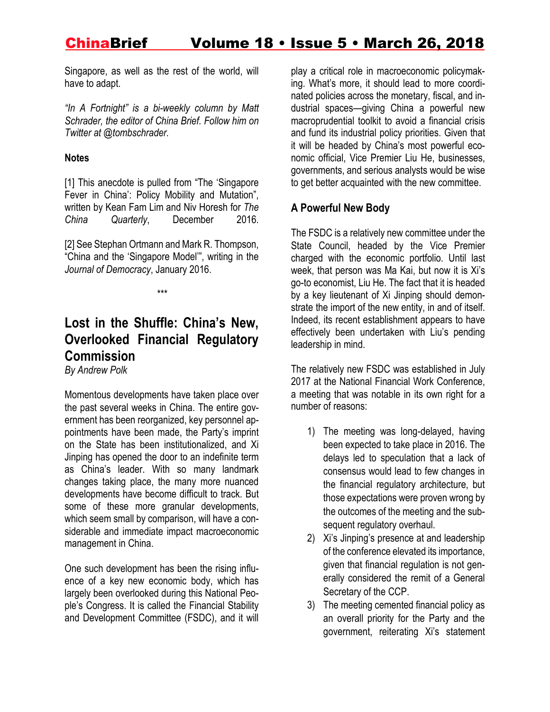Singapore, as well as the rest of the world, will have to adapt.

*"In A Fortnight" is a bi-weekly column by Matt Schrader, the editor of China Brief. Follow him on Twitter at @tombschrader.*

#### **Notes**

[1] This anecdote is pulled from "The 'Singapore Fever in China': Policy Mobility and Mutation", written by Kean Fam Lim and Niv Horesh for *The China Quarterly*, December 2016.

[2] See Stephan Ortmann and Mark R. Thompson, "China and the 'Singapore Model'", writing in the *Journal of Democracy*, January 2016.

*\*\*\**

# **Lost in the Shuffle: China's New, Overlooked Financial Regulatory Commission**

*By Andrew Polk*

Momentous developments have taken place over the past several weeks in China. The entire government has been reorganized, key personnel appointments have been made, the Party's imprint on the State has been institutionalized, and Xi Jinping has opened the door to an indefinite term as China's leader. With so many landmark changes taking place, the many more nuanced developments have become difficult to track. But some of these more granular developments, which seem small by comparison, will have a considerable and immediate impact macroeconomic management in China.

One such development has been the rising influence of a key new economic body, which has largely been overlooked during this National People's Congress. It is called the Financial Stability and Development Committee (FSDC), and it will play a critical role in macroeconomic policymaking. What's more, it should lead to more coordinated policies across the monetary, fiscal, and industrial spaces—giving China a powerful new macroprudential toolkit to avoid a financial crisis and fund its industrial policy priorities. Given that it will be headed by China's most powerful economic official, Vice Premier Liu He, businesses, governments, and serious analysts would be wise to get better acquainted with the new committee.

#### **A Powerful New Body**

The FSDC is a relatively new committee under the State Council, headed by the Vice Premier charged with the economic portfolio. Until last week, that person was Ma Kai, but now it is Xi's go-to economist, Liu He. The fact that it is headed by a key lieutenant of Xi Jinping should demonstrate the import of the new entity, in and of itself. Indeed, its recent establishment appears to have effectively been undertaken with Liu's pending leadership in mind.

The relatively new FSDC was established in July 2017 at the National Financial Work Conference, a meeting that was notable in its own right for a number of reasons:

- 1) The meeting was long-delayed, having been expected to take place in 2016. The delays led to speculation that a lack of consensus would lead to few changes in the financial regulatory architecture, but those expectations were proven wrong by the outcomes of the meeting and the subsequent regulatory overhaul.
- 2) Xi's Jinping's presence at and leadership of the conference elevated its importance, given that financial regulation is not generally considered the remit of a General Secretary of the CCP.
- 3) The meeting cemented financial policy as an overall priority for the Party and the government, reiterating Xi's statement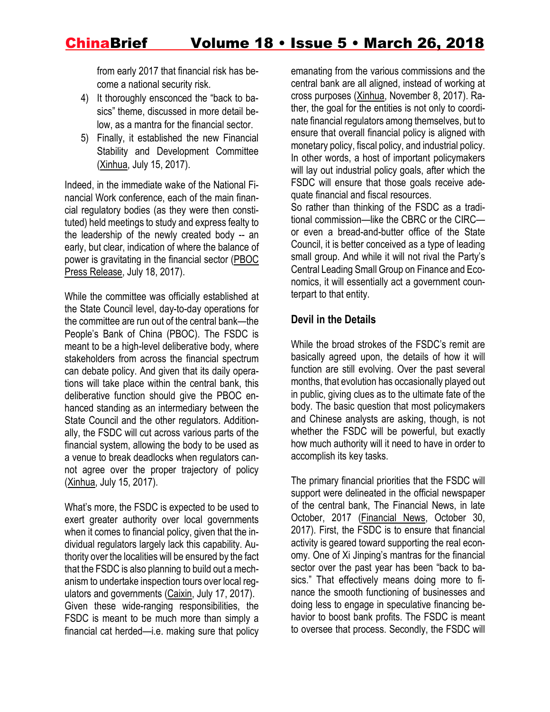from early 2017 that financial risk has become a national security risk.

- 4) It thoroughly ensconced the "back to basics" theme, discussed in more detail below, as a mantra for the financial sector.
- 5) Finally, it established the new Financial Stability and Development Committee [\(Xinhua,](http://news.xinhuanet.com/politics/2017-07/15/c_1121324747.htm) July 15, 2017).

Indeed, in the immediate wake of the National Financial Work conference, each of the main financial regulatory bodies (as they were then constituted) held meetings to study and express fealty to the leadership of the newly created body -- an early, but clear, indication of where the balance of power is gravitating in the financial sector [\(PBOC](http://www.pbc.gov.cn/goutongjiaoliu/113456/113469/3346465/index.html) Press [Release,](http://www.pbc.gov.cn/goutongjiaoliu/113456/113469/3346465/index.html) July 18, 2017).

While the committee was officially established at the State Council level, day-to-day operations for the committee are run out of the central bank—the People's Bank of China (PBOC). The FSDC is meant to be a high-level deliberative body, where stakeholders from across the financial spectrum can debate policy. And given that its daily operations will take place within the central bank, this deliberative function should give the PBOC enhanced standing as an intermediary between the State Council and the other regulators. Additionally, the FSDC will cut across various parts of the financial system, allowing the body to be used as a venue to break deadlocks when regulators cannot agree over the proper trajectory of policy [\(Xinhua,](http://news.xinhuanet.com/politics/2017-07/15/c_1121324747.htm) July 15, 2017).

What's more, the FSDC is expected to be used to exert greater authority over local governments when it comes to financial policy, given that the individual regulators largely lack this capability. Authority over the localities will be ensured by the fact that the FSDC is also planning to build out a mechanism to undertake inspection tours over local regulators and governments [\(Caixin,](http://finance.caixin.com/2017-10-17/101157078.html) July 17, 2017). Given these wide-ranging responsibilities, the FSDC is meant to be much more than simply a financial cat herded—i.e. making sure that policy

emanating from the various commissions and the central bank are all aligned, instead of working at cross purposes [\(Xinhua,](http://news.xinhuanet.com/english/2017-11/08/c_136737949.htm) November 8, 2017). Rather, the goal for the entities is not only to coordinate financial regulators among themselves, but to ensure that overall financial policy is aligned with monetary policy, fiscal policy, and industrial policy. In other words, a host of important policymakers will lay out industrial policy goals, after which the FSDC will ensure that those goals receive adequate financial and fiscal resources.

So rather than thinking of the FSDC as a traditional commission—like the CBRC or the CIRC or even a bread-and-butter office of the State Council, it is better conceived as a type of leading small group. And while it will not rival the Party's Central Leading Small Group on Finance and Economics, it will essentially act a government counterpart to that entity.

### **Devil in the Details**

While the broad strokes of the FSDC's remit are basically agreed upon, the details of how it will function are still evolving. Over the past several months, that evolution has occasionally played out in public, giving clues as to the ultimate fate of the body. The basic question that most policymakers and Chinese analysts are asking, though, is not whether the FSDC will be powerful, but exactly how much authority will it need to have in order to accomplish its key tasks.

The primary financial priorities that the FSDC will support were delineated in the official newspaper of the central bank, The Financial News, in late October, 2017 [\(Financial](http://www.financialnews.com.cn/pl/cj/201710/t20171030_126768.html) News, October 30, 2017). First, the FSDC is to ensure that financial activity is geared toward supporting the real economy. One of Xi Jinping's mantras for the financial sector over the past year has been "back to basics." That effectively means doing more to finance the smooth functioning of businesses and doing less to engage in speculative financing behavior to boost bank profits. The FSDC is meant to oversee that process. Secondly, the FSDC will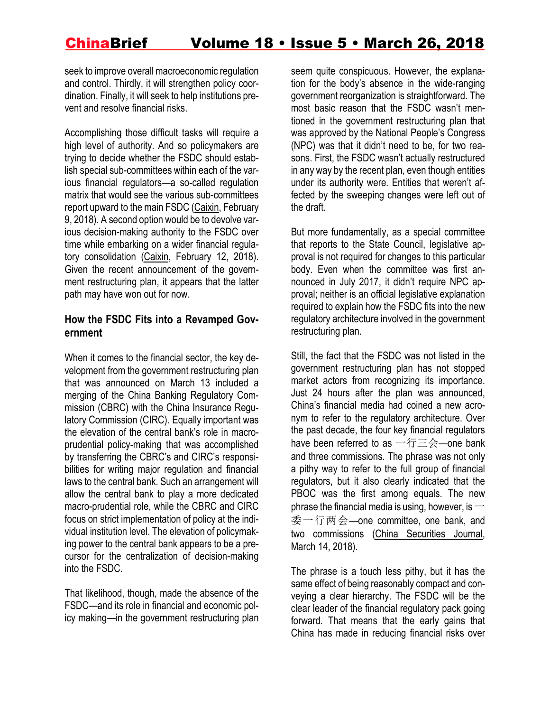seek to improve overall macroeconomic regulation and control. Thirdly, it will strengthen policy coordination. Finally, it will seek to help institutions prevent and resolve financial risks.

Accomplishing those difficult tasks will require a high level of authority. And so policymakers are trying to decide whether the FSDC should establish special sub-committees within each of the various financial regulators—a so-called regulation matrix that would see the various sub-committees report upward to the main FSDC [\(Caixin,](http://finance.caixin.com/2018-02-09/101209738.html) February 9, 2018). A second option would be to devolve various decision-making authority to the FSDC over time while embarking on a wider financial regulatory consolidation [\(Caixin,](https://www.caixinglobal.com/2018-02-12/china-weighs-the-how-of-financial-regulatory-reform-101210643.html) February 12, 2018). Given the recent announcement of the government restructuring plan, it appears that the latter path may have won out for now.

#### **How the FSDC Fits into a Revamped Government**

When it comes to the financial sector, the key development from the government restructuring plan that was announced on March 13 included a merging of the China Banking Regulatory Commission (CBRC) with the China Insurance Regulatory Commission (CIRC). Equally important was the elevation of the central bank's role in macroprudential policy-making that was accomplished by transferring the CBRC's and CIRC's responsibilities for writing major regulation and financial laws to the central bank. Such an arrangement will allow the central bank to play a more dedicated macro-prudential role, while the CBRC and CIRC focus on strict implementation of policy at the individual institution level. The elevation of policymaking power to the central bank appears to be a precursor for the centralization of decision-making into the FSDC.

That likelihood, though, made the absence of the FSDC—and its role in financial and economic policy making—in the government restructuring plan

seem quite conspicuous. However, the explanation for the body's absence in the wide-ranging government reorganization is straightforward. The most basic reason that the FSDC wasn't mentioned in the government restructuring plan that was approved by the National People's Congress (NPC) was that it didn't need to be, for two reasons. First, the FSDC wasn't actually restructured in any way by the recent plan, even though entities under its authority were. Entities that weren't affected by the sweeping changes were left out of the draft.

But more fundamentally, as a special committee that reports to the State Council, legislative approval is not required for changes to this particular body. Even when the committee was first announced in July 2017, it didn't require NPC approval; neither is an official legislative explanation required to explain how the FSDC fits into the new regulatory architecture involved in the government restructuring plan.

Still, the fact that the FSDC was not listed in the government restructuring plan has not stopped market actors from recognizing its importance. Just 24 hours after the plan was announced, China's financial media had coined a new acronym to refer to the regulatory architecture. Over the past decade, the four key financial regulators have been referred to as 一行三会—one bank and three commissions. The phrase was not only a pithy way to refer to the full group of financial regulators, but it also clearly indicated that the PBOC was the first among equals. The new phrase the financial media is using, however, is  $\rightarrow$ 委一行两会—one committee, one bank, and two commissions (China [Securities](http://www.cs.com.cn/xwzx/201803/t20180314_5743796.html) Journal, March 14, 2018).

The phrase is a touch less pithy, but it has the same effect of being reasonably compact and conveying a clear hierarchy. The FSDC will be the clear leader of the financial regulatory pack going forward. That means that the early gains that China has made in reducing financial risks over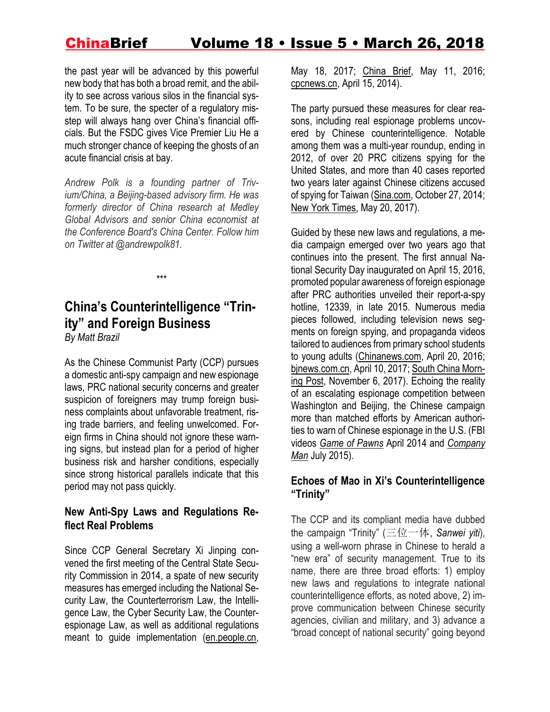the past year will be advanced by this powerful new body that has both a broad remit, and the ability to see across various silos in the financial system. To be sure, the specter of a regulatory misstep will always hang over China's financial officials. But the FSDC gives Vice Premier Liu He a much stronger chance of keeping the ghosts of an acute financial crisis at bay.

*Andrew Polk is a founding partner of Trivium/China, a Beijing-based advisory firm. He was formerly director of China research at Medley Global Advisors and senior China economist at the Conference Board's China Center. Follow him on Twitter at @andrewpolk81.*

# **China's Counterintelligence "Trinity" and Foreign Business**

\*\*\*

*By Matt Brazil*

As the Chinese Communist Party (CCP) pursues a domestic anti-spy campaign and new espionage laws, PRC national security concerns and greater suspicion of foreigners may trump foreign business complaints about unfavorable treatment, rising trade barriers, and feeling unwelcomed. Foreign firms in China should not ignore these warning signs, but instead plan for a period of higher business risk and harsher conditions, especially since strong historical parallels indicate that this period may not pass quickly.

#### **New Anti-Spy Laws and Regulations Reflect Real Problems**

Since CCP General Secretary Xi Jinping convened the first meeting of the Central State Security Commission in 2014, a spate of new security measures has emerged including the National Security Law, the Counterterrorism Law, the Intelligence Law, the Cyber Security Law, the Counterespionage Law, as well as additional regulations meant to guide implementation [\(en.people.cn,](http://en.people.cn/n3/2017/0518/c90000-9217318.html)

May 18, 2017; [China](https://jamestown.org/program/addressing-rising-business-risk-in-china/) Brief, May 11, 2016; [cpcnews.cn,](http://cpc.people.com.cn/n/2014/0415/c64094-24899781.html) April 15, 2014).

The party pursued these measures for clear reasons, including real espionage problems uncovered by Chinese counterintelligence. Notable among them was a multi-year roundup, ending in 2012, of over 20 PRC citizens spying for the United States, and more than 40 cases reported two years later against Chinese citizens accused of spying for Taiwan [\(Sina.com,](http://news.sina.com.cn/c/2014-10-27/014831048038.shtml) October 27, 2014; New York [Times,](https://www.nytimes.com/2017/05/20/world/asia/china-cia-spies-espionage.html) May 20, 2017).

Guided by these new laws and regulations, a media campaign emerged over two years ago that continues into the present. The first annual National Security Day inaugurated on April 15, 2016, promoted popular awareness of foreign espionage after PRC authorities unveiled their report-a-spy hotline, 12339, in late 2015. Numerous media pieces followed, including television news segments on foreign spying, and propaganda videos tailored to audiences from primary school students to young adults [\(Chinanews.com,](http://www.chinanews.com/m/mil/2016/04-20/7841942.shtml) April 20, 2016; [bjnews.com.cn,](http://www.bjnews.com.cn/news/2017/04/10/439357.html) April 10, 2017; [South](http://www.scmp.com/news/china/policies-politics/article/2118553/grandpa-what-are-spies-cartoon-urges-chinese-children) China Morning [Post,](http://www.scmp.com/news/china/policies-politics/article/2118553/grandpa-what-are-spies-cartoon-urges-chinese-children) November 6, 2017). Echoing the reality of an escalating espionage competition between Washington and Beijing, the Chinese campaign more than matched efforts by American authorities to warn of Chinese espionage in the U.S. (FBI videos *Game of [Pawns](https://www.fbi.gov/video-repository/newss-game-of-pawns/view)* April 2014 and *[Company](https://www.fbi.gov/video-repository/newss-the-company-man-protecting-americas-secrets/view) [Man](https://www.fbi.gov/video-repository/newss-the-company-man-protecting-americas-secrets/view)* July 2015).

#### **Echoes of Mao in Xi's Counterintelligence "Trinity"**

The CCP and its compliant media have dubbed the campaign "Trinity" (三位一体, *Sanwei yiti*), using a well-worn phrase in Chinese to herald a "new era" of security management. True to its name, there are three broad efforts: 1) employ new laws and regulations to integrate national counterintelligence efforts, as noted above, 2) improve communication between Chinese security agencies, civilian and military, and 3) advance a "broad concept of national security" going beyond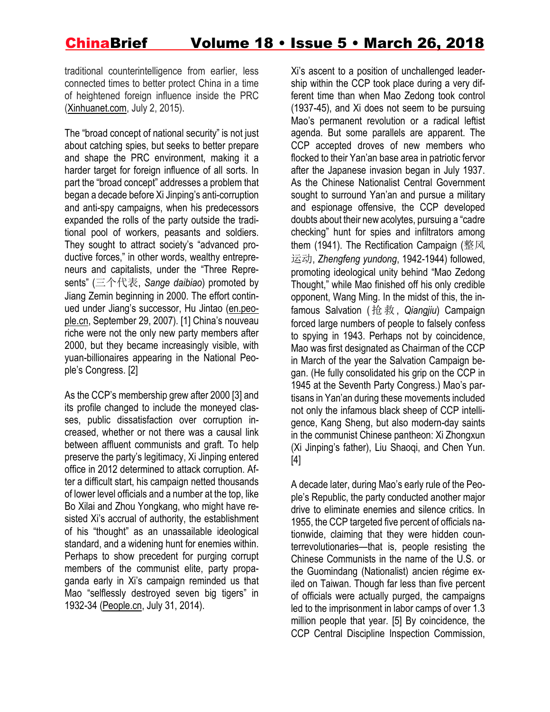traditional counterintelligence from earlier, less connected times to better protect China in a time of heightened foreign influence inside the PRC [\(Xinhuanet.com,](http://www.xinhuanet.com/world/2015-07/02/c_127974791.htm) July 2, 2015).

The "broad concept of national security" is not just about catching spies, but seeks to better prepare and shape the PRC environment, making it a harder target for foreign influence of all sorts. In part the "broad concept" addresses a problem that began a decade before Xi Jinping's anti-corruption and anti-spy campaigns, when his predecessors expanded the rolls of the party outside the traditional pool of workers, peasants and soldiers. They sought to attract society's "advanced productive forces," in other words, wealthy entrepreneurs and capitalists, under the "Three Represents" (三个代表, *Sange daibiao*) promoted by Jiang Zemin beginning in 2000. The effort continued under Jiang's successor, Hu Jintao [\(en.peo](http://en.people.cn/90002/92169/92211/6274616.html)[ple.cn,](http://en.people.cn/90002/92169/92211/6274616.html) September 29, 2007). [1] China's nouveau riche were not the only new party members after 2000, but they became increasingly visible, with yuan-billionaires appearing in the National People's Congress. [2]

As the CCP's membership grew after 2000 [3] and its profile changed to include the moneyed classes, public dissatisfaction over corruption increased, whether or not there was a causal link between affluent communists and graft. To help preserve the party's legitimacy, Xi Jinping entered office in 2012 determined to attack corruption. After a difficult start, his campaign netted thousands of lower level officials and a number at the top, like Bo Xilai and Zhou Yongkang, who might have resisted Xi's accrual of authority, the establishment of his "thought" as an unassailable ideological standard, and a widening hunt for enemies within. Perhaps to show precedent for purging corrupt members of the communist elite, party propaganda early in Xi's campaign reminded us that Mao "selflessly destroyed seven big tigers" in 1932-34 [\(People.cn,](http://history.people.com.cn/n/2014/0731/c372327-25375763.html) July 31, 2014).

Xi's ascent to a position of unchallenged leadership within the CCP took place during a very different time than when Mao Zedong took control (1937-45), and Xi does not seem to be pursuing Mao's permanent revolution or a radical leftist agenda. But some parallels are apparent. The CCP accepted droves of new members who flocked to their Yan'an base area in patriotic fervor after the Japanese invasion began in July 1937. As the Chinese Nationalist Central Government sought to surround Yan'an and pursue a military and espionage offensive, the CCP developed doubts about their new acolytes, pursuing a "cadre checking" hunt for spies and infiltrators among them (1941). The Rectification Campaign (整风 运动, *Zhengfeng yundong*, 1942-1944) followed, promoting ideological unity behind "Mao Zedong Thought," while Mao finished off his only credible opponent, Wang Ming. In the midst of this, the infamous Salvation (抢救, *Qiangjiu*) Campaign forced large numbers of people to falsely confess to spying in 1943. Perhaps not by coincidence, Mao was first designated as Chairman of the CCP in March of the year the Salvation Campaign began. (He fully consolidated his grip on the CCP in 1945 at the Seventh Party Congress.) Mao's partisans in Yan'an during these movements included not only the infamous black sheep of CCP intelligence, Kang Sheng, but also modern-day saints in the communist Chinese pantheon: Xi Zhongxun (Xi Jinping's father), Liu Shaoqi, and Chen Yun. [4]

A decade later, during Mao's early rule of the People's Republic, the party conducted another major drive to eliminate enemies and silence critics. In 1955, the CCP targeted five percent of officials nationwide, claiming that they were hidden counterrevolutionaries—that is, people resisting the Chinese Communists in the name of the U.S. or the Guomindang (Nationalist) ancien régime exiled on Taiwan. Though far less than five percent of officials were actually purged, the campaigns led to the imprisonment in labor camps of over 1.3 million people that year. [5] By coincidence, the CCP Central Discipline Inspection Commission,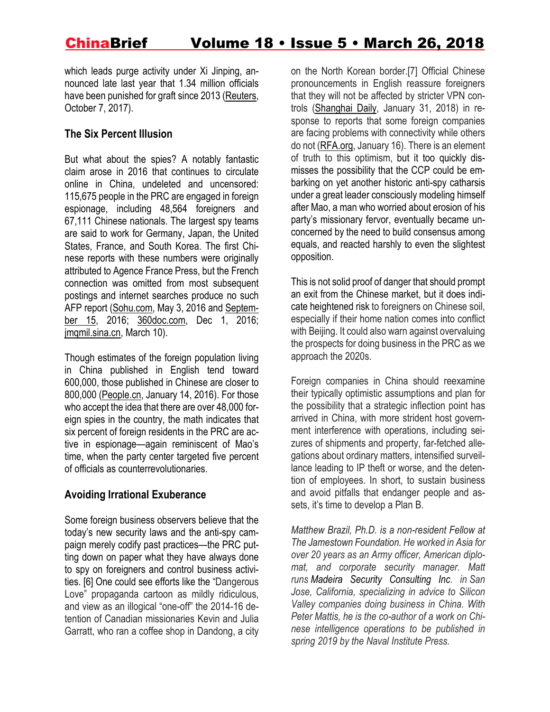which leads purge activity under Xi Jinping, announced late last year that 1.34 million officials have been punished for graft since 2013 [\(Reuters,](https://www.reuters.com/article/us-china-corruption/chinese-watchdog-says-1-34-million-officials-punished-for-graft-since-2013-idUSKBN1CD04B) October 7, 2017).

### **The Six Percent Illusion**

But what about the spies? A notably fantastic claim arose in 2016 that continues to circulate online in China, undeleted and uncensored: 115,675 people in the PRC are engaged in foreign espionage, including 48,564 foreigners and 67,111 Chinese nationals. The largest spy teams are said to work for Germany, Japan, the United States, France, and South Korea. The first Chinese reports with these numbers were originally attributed to Agence France Press, but the French connection was omitted from most subsequent postings and internet searches produce no such AFP report [\(Sohu.com,](http://www.sohu.com/a/73115659_119927) May 3, 2016 and [Septem](http://www.sohu.com/a/114410409_465518)[ber](http://www.sohu.com/a/114410409_465518) 15, 2016; [360doc.com,](http://www.360doc.com/content/16/1201/10/12093531_610972673.shtml) Dec 1, 2016; [jmqmil.sina.cn,](https://jmqmil.sina.cn/qita/doc-ifyscpei8390016.d.html?oid=3822371503320900&vt=4) March 10).

Though estimates of the foreign population living in China published in English tend toward 600,000, those published in Chinese are closer to 800,000 [\(People.cn,](http://world.people.com.cn/n1/2016/0114/c1002-28051487.html) January 14, 2016). For those who accept the idea that there are over 48,000 foreign spies in the country, the math indicates that six percent of foreign residents in the PRC are active in espionage—again reminiscent of Mao's time, when the party center targeted five percent of officials as counterrevolutionaries.

### **Avoiding Irrational Exuberance**

Some foreign business observers believe that the today's new security laws and the anti-spy campaign merely codify past practices—the PRC putting down on paper what they have always done to spy on foreigners and control business activities. [6] One could see efforts like the "Dangerous Love" propaganda cartoon as mildly ridiculous, and view as an illogical "one-off" the 2014-16 detention of Canadian missionaries Kevin and Julia Garratt, who ran a coffee shop in Dandong, a city on the North Korean border.[7] Official Chinese pronouncements in English reassure foreigners that they will not be affected by stricter VPN controls [\(Shanghai](https://www.shine.cn/archive/business/it/Assurance-offered-to-VPN-users-in-China/shdaily.shtml) Daily, January 31, 2018) in response to reports that some foreign companies are facing problems with connectivity while others do not [\(RFA.org,](https://www.rfa.org/mandarin/yataibaodao/jingmao/yl-01162018111635.html) January 16). There is an element of truth to this optimism, but it too quickly dismisses the possibility that the CCP could be embarking on yet another historic anti-spy catharsis under a great leader consciously modeling himself after Mao, a man who worried about erosion of his party's missionary fervor, eventually became unconcerned by the need to build consensus among equals, and reacted harshly to even the slightest opposition.

This is not solid proof of danger that should prompt an exit from the Chinese market, but it does indicate heightened risk to foreigners on Chinese soil, especially if their home nation comes into conflict with Beijing. It could also warn against overvaluing the prospects for doing business in the PRC as we approach the 2020s.

Foreign companies in China should reexamine their typically optimistic assumptions and plan for the possibility that a strategic inflection point has arrived in China, with more strident host government interference with operations, including seizures of shipments and property, far-fetched allegations about ordinary matters, intensified surveillance leading to IP theft or worse, and the detention of employees. In short, to sustain business and avoid pitfalls that endanger people and assets, it's time to develop a Plan B.

*Matthew Brazil, Ph.D. is a non-resident Fellow at The Jamestown Foundation. He worked in Asia for over 20 years as an Army officer, American diplomat, and corporate security manager. Matt runs Madeira Security Consulting Inc. in San Jose, California, specializing in advice to Silicon Valley companies doing business in China. With Peter Mattis, he is the co-author of a work on Chinese intelligence operations to be published in spring 2019 by the Naval Institute Press.*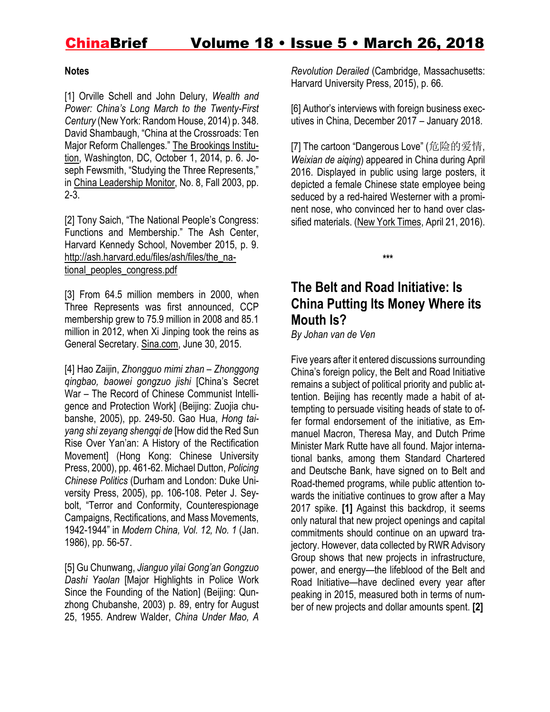#### **Notes**

[1] Orville Schell and John Delury, *Wealth and Power: China's Long March to the Twenty-First Century* (New York: Random House, 2014) p. 348. David Shambaugh, "China at the Crossroads: Ten Major Reform Challenges." The [Brookings](https://www.brookings.edu/wp-content/uploads/2016/06/01-china-crossroads-reform-challenges-shambaugh-b.pdf) Institu[tion,](https://www.brookings.edu/wp-content/uploads/2016/06/01-china-crossroads-reform-challenges-shambaugh-b.pdf) Washington, DC, October 1, 2014, p. 6. Joseph Fewsmith, "Studying the Three Represents," in China [Leadership](https://www.hoover.org/sites/default/files/uploads/documents/clm8_jf.pdf) Monitor, No. 8, Fall 2003, pp. 2-3.

[2] Tony Saich, "The National People's Congress: Functions and Membership." The Ash Center, Harvard Kennedy School, November 2015, p. 9. [http://ash.harvard.edu/files/ash/files/the\\_na](http://ash.harvard.edu/files/ash/files/the_national_peoples_congress.pdf)tional peoples congress.pdf

[3] From 64.5 million members in 2000, when Three Represents was first announced, CCP membership grew to 75.9 million in 2008 and 85.1 million in 2012, when Xi Jinping took the reins as General Secretary. [Sina.com,](http://blog.sina.com.cn/s/blog_4efe65c30102vrb4.html) June 30, 2015.

[4] Hao Zaijin, *Zhongguo mimi zhan – Zhonggong qingbao, baowei gongzuo jishi* [China's Secret War – The Record of Chinese Communist Intelligence and Protection Work] (Beijing: Zuojia chubanshe, 2005), pp. 249-50. Gao Hua, *Hong taiyang shi zeyang shengqi de* [How did the Red Sun Rise Over Yan'an: A History of the Rectification Movement] (Hong Kong: Chinese University Press, 2000), pp. 461-62. Michael Dutton, *Policing Chinese Politics* (Durham and London: Duke University Press, 2005), pp. 106-108. Peter J. Seybolt, "Terror and Conformity, Counterespionage Campaigns, Rectifications, and Mass Movements, 1942-1944" in *Modern China, Vol. 12, No. 1* (Jan. 1986), pp. 56-57.

[5] Gu Chunwang, *Jianguo yilai Gong'an Gongzuo Dashi Yaolan* [Major Highlights in Police Work Since the Founding of the Nation] (Beijing: Qunzhong Chubanshe, 2003) p. 89, entry for August 25, 1955. Andrew Walder, *China Under Mao, A*

*Revolution Derailed* (Cambridge, Massachusetts: Harvard University Press, 2015), p. 66.

[6] Author's interviews with foreign business executives in China, December 2017 – January 2018.

[7] The cartoon "Dangerous Love" (危险的爱情, *Weixian de aiqing*) appeared in China during April 2016. Displayed in public using large posters, it depicted a female Chinese state employee being seduced by a red-haired Westerner with a prominent nose, who convinced her to hand over classified materials. (New York [Times,](https://www.nytimes.com/2016/04/22/world/asia/china-foreign-spy-warning.html) April 21, 2016).

**\*\*\***

# **The Belt and Road Initiative: Is China Putting Its Money Where its Mouth Is?**

*By Johan van de Ven*

Five years after it entered discussions surrounding China's foreign policy, the Belt and Road Initiative remains a subject of political priority and public attention. Beijing has recently made a habit of attempting to persuade visiting heads of state to offer formal endorsement of the initiative, as Emmanuel Macron, Theresa May, and Dutch Prime Minister Mark Rutte have all found. Major international banks, among them Standard Chartered and Deutsche Bank, have signed on to Belt and Road-themed programs, while public attention towards the initiative continues to grow after a May 2017 spike. **[1]** Against this backdrop, it seems only natural that new project openings and capital commitments should continue on an upward trajectory. However, data collected by RWR Advisory Group shows that new projects in infrastructure, power, and energy—the lifeblood of the Belt and Road Initiative—have declined every year after peaking in 2015, measured both in terms of number of new projects and dollar amounts spent. **[2]**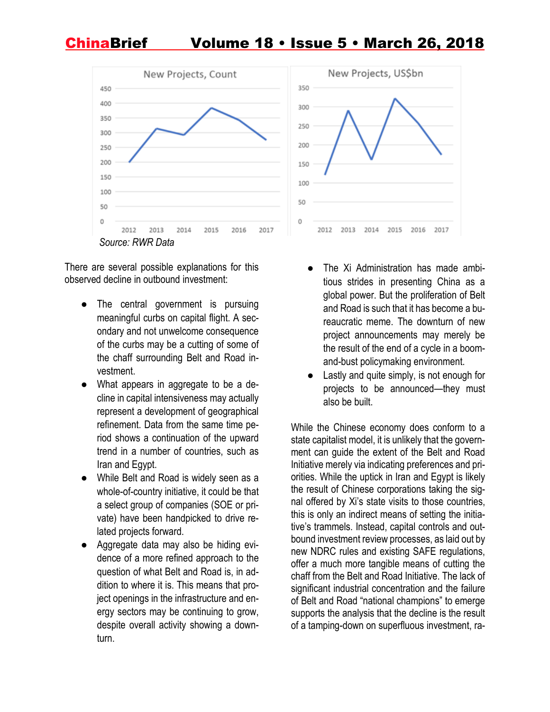

There are several possible explanations for this observed decline in outbound investment:

- The central government is pursuing meaningful curbs on capital flight. A secondary and not unwelcome consequence of the curbs may be a cutting of some of the chaff surrounding Belt and Road investment.
- What appears in aggregate to be a decline in capital intensiveness may actually represent a development of geographical refinement. Data from the same time period shows a continuation of the upward trend in a number of countries, such as Iran and Egypt.
- While Belt and Road is widely seen as a whole-of-country initiative, it could be that a select group of companies (SOE or private) have been handpicked to drive related projects forward.
- Aggregate data may also be hiding evidence of a more refined approach to the question of what Belt and Road is, in addition to where it is. This means that project openings in the infrastructure and energy sectors may be continuing to grow, despite overall activity showing a downturn.



- The Xi Administration has made ambitious strides in presenting China as a global power. But the proliferation of Belt and Road is such that it has become a bureaucratic meme. The downturn of new project announcements may merely be the result of the end of a cycle in a boomand-bust policymaking environment.
- Lastly and quite simply, is not enough for projects to be announced—they must also be built.

While the Chinese economy does conform to a state capitalist model, it is unlikely that the government can guide the extent of the Belt and Road Initiative merely via indicating preferences and priorities. While the uptick in Iran and Egypt is likely the result of Chinese corporations taking the signal offered by Xi's state visits to those countries, this is only an indirect means of setting the initiative's trammels. Instead, capital controls and outbound investment review processes, as laid out by new NDRC rules and existing SAFE regulations, offer a much more tangible means of cutting the chaff from the Belt and Road Initiative. The lack of significant industrial concentration and the failure of Belt and Road "national champions" to emerge supports the analysis that the decline is the result of a tamping-down on superfluous investment, ra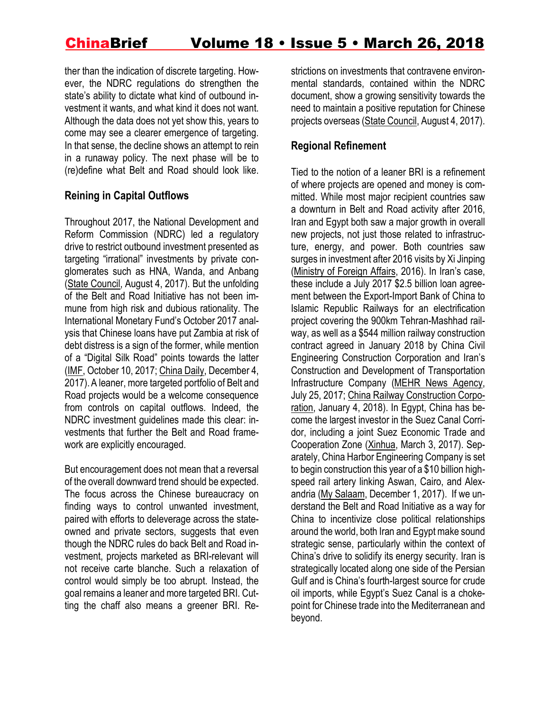ther than the indication of discrete targeting. However, the NDRC regulations do strengthen the state's ability to dictate what kind of outbound investment it wants, and what kind it does not want. Although the data does not yet show this, years to come may see a clearer emergence of targeting. In that sense, the decline shows an attempt to rein in a runaway policy. The next phase will be to (re)define what Belt and Road should look like.

#### **Reining in Capital Outflows**

Throughout 2017, the National Development and Reform Commission (NDRC) led a regulatory drive to restrict outbound investment presented as targeting "irrational" investments by private conglomerates such as HNA, Wanda, and Anbang (State [Council,](http://www.gov.cn/zhengce/content/2017-08/18/content_5218665.htm) August 4, 2017). But the unfolding of the Belt and Road Initiative has not been immune from high risk and dubious rationality. The International Monetary Fund's October 2017 analysis that Chinese loans have put Zambia at risk of debt distress is a sign of the former, while mention of a "Digital Silk Road" points towards the latter [\(IMF,](https://www.imf.org/en/News/Articles/2017/10/10/pr17394-imf-executive-board-concludes-2017-article-iv-consultation-with-zambia) October 10, 2017; [China](http://www.chinadaily.com.cn/business/4thwic/2017-12/04/content_35201648.htm) Daily, December 4, 2017).A leaner, more targeted portfolio of Belt and Road projects would be a welcome consequence from controls on capital outflows. Indeed, the NDRC investment guidelines made this clear: investments that further the Belt and Road framework are explicitly encouraged.

But encouragement does not mean that a reversal of the overall downward trend should be expected. The focus across the Chinese bureaucracy on finding ways to control unwanted investment, paired with efforts to deleverage across the stateowned and private sectors, suggests that even though the NDRC rules do back Belt and Road investment, projects marketed as BRI-relevant will not receive carte blanche. Such a relaxation of control would simply be too abrupt. Instead, the goal remains a leaner and more targeted BRI. Cutting the chaff also means a greener BRI. Restrictions on investments that contravene environmental standards, contained within the NDRC document, show a growing sensitivity towards the need to maintain a positive reputation for Chinese projects overseas (State [Council,](http://www.gov.cn/zhengce/content/2017-08/18/content_5218665.htm) August 4, 2017).

#### **Regional Refinement**

Tied to the notion of a leaner BRI is a refinement of where projects are opened and money is committed. While most major recipient countries saw a downturn in Belt and Road activity after 2016, Iran and Egypt both saw a major growth in overall new projects, not just those related to infrastructure, energy, and power. Both countries saw surges in investment after 2016 visits by Xi Jinping [\(Ministry](http://www.fmprc.gov.cn/mfa_eng/topics_665678/xjpdstajyljxgsfw/) of Foreign Affairs, 2016). In Iran's case, these include a July 2017 \$2.5 billion loan agreement between the Export-Import Bank of China to Islamic Republic Railways for an electrification project covering the 900km Tehran-Mashhad railway, as well as a \$544 million railway construction contract agreed in January 2018 by China Civil Engineering Construction Corporation and Iran's Construction and Development of Transportation Infrastructure Company (MEHR News [Agency,](https://en.mehrnews.com/news/126722/Iran-China-ink-contract-to-electrify-Tehran-Mashhad-railway) July 25, 2017; China Railway [Construction](http://english.crcc.cn/art/2018/1/4/art_441_939439.html) Corpo[ration,](http://english.crcc.cn/art/2018/1/4/art_441_939439.html) January 4, 2018). In Egypt, China has become the largest investor in the Suez Canal Corridor, including a joint Suez Economic Trade and Cooperation Zone [\(Xinhua,](http://www.xinhuanet.com/english/2017-03/16/c_136134254.htm) March 3, 2017). Separately, China Harbor Engineering Company is set to begin construction this year of a \$10 billion highspeed rail artery linking Aswan, Cairo, and Alexandria (My [Salaam,](https://uat2.mysalaam.com/ENR__Egypt_High_Speed_Rail_Project__AlexandriaCairo/project/250417092004/) December 1, 2017). If we understand the Belt and Road Initiative as a way for China to incentivize close political relationships around the world, both Iran and Egypt make sound strategic sense, particularly within the context of China's drive to solidify its energy security. Iran is strategically located along one side of the Persian Gulf and is China's fourth-largest source for crude oil imports, while Egypt's Suez Canal is a chokepoint for Chinese trade into the Mediterranean and beyond.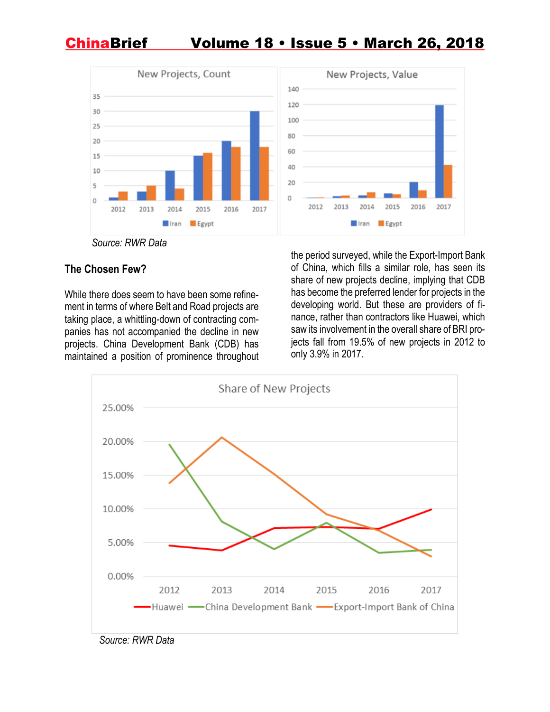

*Source: RWR Data*

### **The Chosen Few?**

While there does seem to have been some refinement in terms of where Belt and Road projects are taking place, a whittling-down of contracting companies has not accompanied the decline in new projects. China Development Bank (CDB) has maintained a position of prominence throughout

the period surveyed, while the Export-Import Bank of China, which fills a similar role, has seen its share of new projects decline, implying that CDB has become the preferred lender for projects in the developing world. But these are providers of finance, rather than contractors like Huawei, which saw its involvement in the overall share of BRI projects fall from 19.5% of new projects in 2012 to only 3.9% in 2017.



*Source: RWR Data*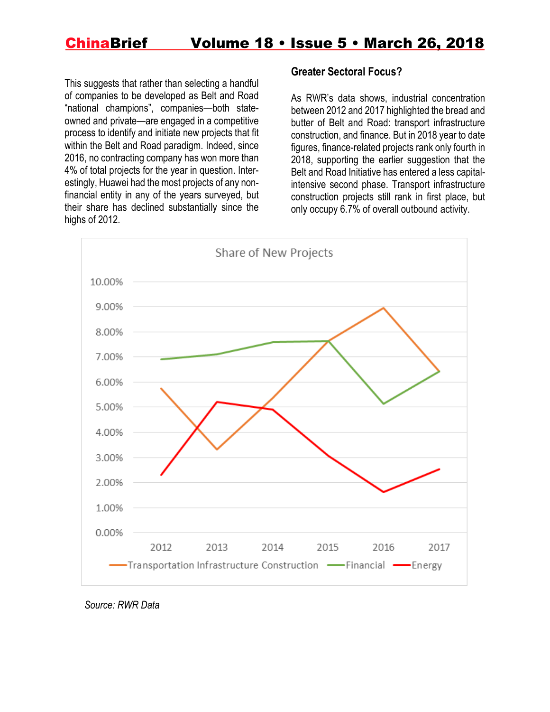This suggests that rather than selecting a handful of companies to be developed as Belt and Road "national champions", companies—both stateowned and private—are engaged in a competitive process to identify and initiate new projects that fit within the Belt and Road paradigm. Indeed, since 2016, no contracting company has won more than 4% of total projects for the year in question. Interestingly, Huawei had the most projects of any nonfinancial entity in any of the years surveyed, but their share has declined substantially since the highs of 2012.

#### **Greater Sectoral Focus?**

As RWR's data shows, industrial concentration between 2012 and 2017 highlighted the bread and butter of Belt and Road: transport infrastructure construction, and finance. But in 2018 year to date figures, finance-related projects rank only fourth in 2018, supporting the earlier suggestion that the Belt and Road Initiative has entered a less capitalintensive second phase. Transport infrastructure construction projects still rank in first place, but only occupy 6.7% of overall outbound activity.



 *Source: RWR Data*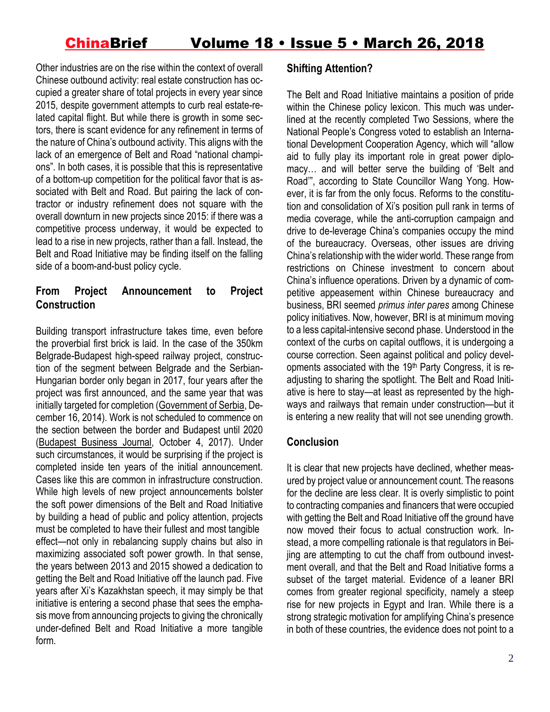Other industries are on the rise within the context of overall Chinese outbound activity: real estate construction has occupied a greater share of total projects in every year since 2015, despite government attempts to curb real estate-related capital flight. But while there is growth in some sectors, there is scant evidence for any refinement in terms of the nature of China's outbound activity. This aligns with the lack of an emergence of Belt and Road "national champions". In both cases, it is possible that this is representative of a bottom-up competition for the political favor that is associated with Belt and Road. But pairing the lack of contractor or industry refinement does not square with the overall downturn in new projects since 2015: if there was a competitive process underway, it would be expected to lead to a rise in new projects, rather than a fall. Instead, the Belt and Road Initiative may be finding itself on the falling side of a boom-and-bust policy cycle.

### **From Project Announcement to Project Construction**

Building transport infrastructure takes time, even before the proverbial first brick is laid. In the case of the 350km Belgrade-Budapest high-speed railway project, construction of the segment between Belgrade and the Serbian-Hungarian border only began in 2017, four years after the project was first announced, and the same year that was initially targeted for completion [\(Government](http://www.srbija.gov.rs/vesti/vest.php?pf=1&id=105765&change_lang=en&url=%2Fvesti%2Fvest.php%3Fpf%3D1%26id%3D105765%26change_lang%3Den) of Serbia, December 16, 2014). Work is not scheduled to commence on the section between the border and Budapest until 2020 [\(Budapest](https://bbj.hu/economy/budapest-belgrade-rail-upgrade-tender-set-for-november_139647) Business Journal, October 4, 2017). Under such circumstances, it would be surprising if the project is completed inside ten years of the initial announcement. Cases like this are common in infrastructure construction. While high levels of new project announcements bolster the soft power dimensions of the Belt and Road Initiative by building a head of public and policy attention, projects must be completed to have their fullest and most tangible effect—not only in rebalancing supply chains but also in maximizing associated soft power growth. In that sense, the years between 2013 and 2015 showed a dedication to getting the Belt and Road Initiative off the launch pad. Five years after Xi's Kazakhstan speech, it may simply be that initiative is entering a second phase that sees the emphasis move from announcing projects to giving the chronically under-defined Belt and Road Initiative a more tangible form.

#### **Shifting Attention?**

The Belt and Road Initiative maintains a position of pride within the Chinese policy lexicon. This much was underlined at the recently completed Two Sessions, where the National People's Congress voted to establish an International Development Cooperation Agency, which will "allow aid to fully play its important role in great power diplomacy… and will better serve the building of 'Belt and Road'", according to State Councillor Wang Yong. However, it is far from the only focus. Reforms to the constitution and consolidation of Xi's position pull rank in terms of media coverage, while the anti-corruption campaign and drive to de-leverage China's companies occupy the mind of the bureaucracy. Overseas, other issues are driving China's relationship with the wider world. These range from restrictions on Chinese investment to concern about China's influence operations. Driven by a dynamic of competitive appeasement within Chinese bureaucracy and business, BRI seemed *primus inter pares* among Chinese policy initiatives. Now, however, BRI is at minimum moving to a less capital-intensive second phase. Understood in the context of the curbs on capital outflows, it is undergoing a course correction. Seen against political and policy developments associated with the 19th Party Congress, it is readjusting to sharing the spotlight. The Belt and Road Initiative is here to stay—at least as represented by the highways and railways that remain under construction—but it is entering a new reality that will not see unending growth.

### **Conclusion**

It is clear that new projects have declined, whether measured by project value or announcement count. The reasons for the decline are less clear. It is overly simplistic to point to contracting companies and financers that were occupied with getting the Belt and Road Initiative off the ground have now moved their focus to actual construction work. Instead, a more compelling rationale is that regulators in Beijing are attempting to cut the chaff from outbound investment overall, and that the Belt and Road Initiative forms a subset of the target material. Evidence of a leaner BRI comes from greater regional specificity, namely a steep rise for new projects in Egypt and Iran. While there is a strong strategic motivation for amplifying China's presence in both of these countries, the evidence does not point to a